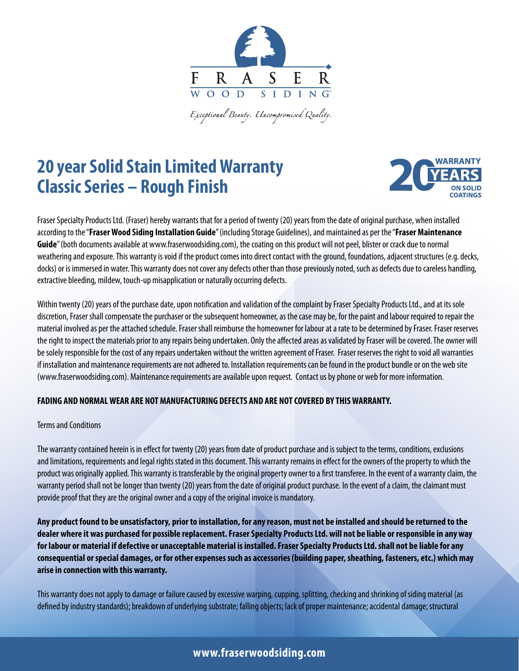

.<br>Exceptional Beauty. Uncompromised Quality.

# **20 year Solid Stain Limited Warranty Classic Series – Rough Finish**



Fraser Specialty Products Ltd. (Fraser) hereby warrants that for a period of twenty (20) years from the date of original purchase, when installed according to the "**Fraser Wood Siding Installation Guide**" (including Storage Guidelines), and maintained as per the "**Fraser Maintenance Guide**" (both documents available at www.fraserwoodsiding.com), the coating on this product will not peel, blister or crack due to normal weathering and exposure. This warranty is void if the product comes into direct contact with the ground, foundations, adjacent structures (e.g. decks, docks) or is immersed in water. This warranty does not cover any defects other than those previously noted, such as defects due to careless handling, extractive bleeding, mildew, touch-up misapplication or naturally occurring defects.

Within twenty (20) years of the purchase date, upon notification and validation of the complaint by Fraser Specialty Products Ltd., and at its sole discretion, Fraser shall compensate the purchaser or the subsequent homeowner, as the case may be, for the paint and labour required to repair the material involved as per the attached schedule. Fraser shall reimburse the homeowner for labour at a rate to be determined by Fraser. Fraser reserves the right to inspect the materials prior to any repairs being undertaken. Only the affected areas as validated by Fraser will be covered. The owner will be solely responsible for the cost of any repairs undertaken without the written agreement of Fraser. Fraser reserves the right to void all warranties if installation and maintenance requirements are not adhered to. Installation requirements can be found in the product bundle or on the web site (www.fraserwoodsiding.com). Maintenance requirements are available upon request. Contact us by phone or web for more information.

### **FADING AND NORMAL WEAR ARE NOT MANUFACTURING DEFECTS AND ARE NOT COVERED BY THIS WARRANTY.**

#### Terms and Conditions

The warranty contained herein is in effect for twenty (20) years from date of product purchase and is subject to the terms, conditions, exclusions and limitations, requirements and legal rights stated in this document. This warranty remains in effect for the owners of the property to which the product was originally applied. This warranty is transferable by the original property owner to a first transferee. In the event of a warranty claim, the warranty period shall not be longer than twenty (20) years from the date of original product purchase. In the event of a claim, the claimant must provide proof that they are the original owner and a copy of the original invoice is mandatory.

**Any product found to be unsatisfactory, prior to installation, for any reason, must not be installed and should be returned to the dealer where it was purchased for possible replacement. Fraser Specialty Products Ltd. will not be liable or responsible in any way for labour or material if defective or unacceptable material is installed. Fraser Specialty Products Ltd. shall not be liable for any consequential or special damages, or for other expenses such as accessories (building paper, sheathing, fasteners, etc.) which may arise in connection with this warranty.**

This warranty does not apply to damage or failure caused by excessive warping, cupping, splitting, checking and shrinking of siding material (as defined by industry standards); breakdown of underlying substrate; falling objects; lack of proper maintenance; accidental damage; structural

# **www.fraserwoodsiding.com**